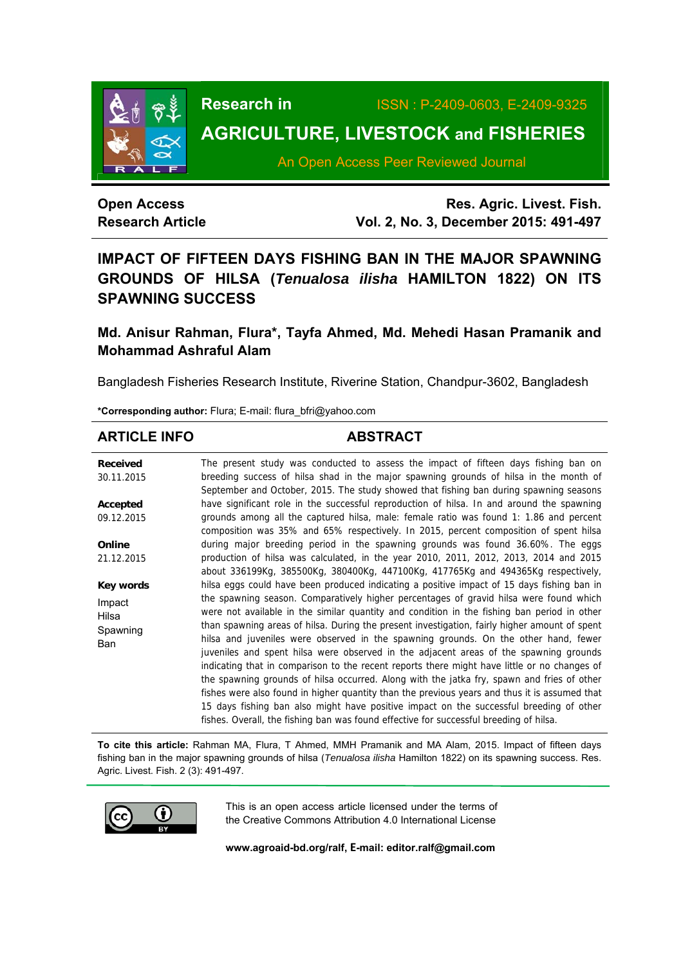

# **Research in** ISSN : P-2409-0603, E-2409-9325

# **AGRICULTURE, LIVESTOCK and FISHERIES**

An Open Access Peer Reviewed Journal

## **Open Access Research Article**

**Res. Agric. Livest. Fish. Vol. 2, No. 3, December 2015: 491-497**

# **IMPACT OF FIFTEEN DAYS FISHING BAN IN THE MAJOR SPAWNING GROUNDS OF HILSA (***Tenualosa ilisha* **HAMILTON 1822) ON ITS SPAWNING SUCCESS**

# **Md. Anisur Rahman, Flura\*, Tayfa Ahmed, Md. Mehedi Hasan Pramanik and Mohammad Ashraful Alam**

Bangladesh Fisheries Research Institute, Riverine Station, Chandpur-3602, Bangladesh

**\*Corresponding author:** Flura; E-mail: flura\_bfri@yahoo.com

### **ARTICLE INFO ABSTRACT**

| <b>Received</b><br>30.11.2015      | The present study was conducted to assess the impact of fifteen days fishing ban on<br>breeding success of hilsa shad in the major spawning grounds of hilsa in the month of<br>September and October, 2015. The study showed that fishing ban during spawning seasons                                                                                                                                                                                                                                                                                                 |
|------------------------------------|------------------------------------------------------------------------------------------------------------------------------------------------------------------------------------------------------------------------------------------------------------------------------------------------------------------------------------------------------------------------------------------------------------------------------------------------------------------------------------------------------------------------------------------------------------------------|
| Accepted                           | have significant role in the successful reproduction of hilsa. In and around the spawning                                                                                                                                                                                                                                                                                                                                                                                                                                                                              |
| 09.12.2015                         | grounds among all the captured hilsa, male: female ratio was found 1: 1.86 and percent                                                                                                                                                                                                                                                                                                                                                                                                                                                                                 |
|                                    | composition was 35% and 65% respectively. In 2015, percent composition of spent hilsa                                                                                                                                                                                                                                                                                                                                                                                                                                                                                  |
| Online                             | during major breeding period in the spawning grounds was found 36.60%. The eggs                                                                                                                                                                                                                                                                                                                                                                                                                                                                                        |
| 21.12.2015                         | production of hilsa was calculated, in the year 2010, 2011, 2012, 2013, 2014 and 2015                                                                                                                                                                                                                                                                                                                                                                                                                                                                                  |
|                                    | about 336199Kg, 385500Kg, 380400Kg, 447100Kg, 417765Kg and 494365Kg respectively,                                                                                                                                                                                                                                                                                                                                                                                                                                                                                      |
| Key words                          | hilsa eggs could have been produced indicating a positive impact of 15 days fishing ban in                                                                                                                                                                                                                                                                                                                                                                                                                                                                             |
| Impact<br>Hilsa<br>Spawning<br>Ban | the spawning season. Comparatively higher percentages of gravid hilsa were found which<br>were not available in the similar quantity and condition in the fishing ban period in other<br>than spawning areas of hilsa. During the present investigation, fairly higher amount of spent<br>hilsa and juveniles were observed in the spawning grounds. On the other hand, fewer<br>juveniles and spent hilsa were observed in the adjacent areas of the spawning grounds<br>indicating that in comparison to the recent reports there might have little or no changes of |
|                                    | the spawning grounds of hilsa occurred. Along with the jatka fry, spawn and fries of other                                                                                                                                                                                                                                                                                                                                                                                                                                                                             |
|                                    | fishes were also found in higher quantity than the previous years and thus it is assumed that                                                                                                                                                                                                                                                                                                                                                                                                                                                                          |
|                                    | 15 days fishing ban also might have positive impact on the successful breeding of other<br>fishes. Overall, the fishing ban was found effective for successful breeding of hilsa.                                                                                                                                                                                                                                                                                                                                                                                      |
|                                    |                                                                                                                                                                                                                                                                                                                                                                                                                                                                                                                                                                        |

**To cite this article:** Rahman MA, Flura, T Ahmed, MMH Pramanik and MA Alam, 2015. Impact of fifteen days fishing ban in the major spawning grounds of hilsa (*Tenualosa ilisha* Hamilton 1822) on its spawning success. Res. Agric. Livest. Fish. 2 (3): 491-497.



This is an open access article licensed under the terms of the Creative Commons Attribution 4.0 International License

**www.agroaid-bd.org/ralf, E-mail: editor.ralf@gmail.com**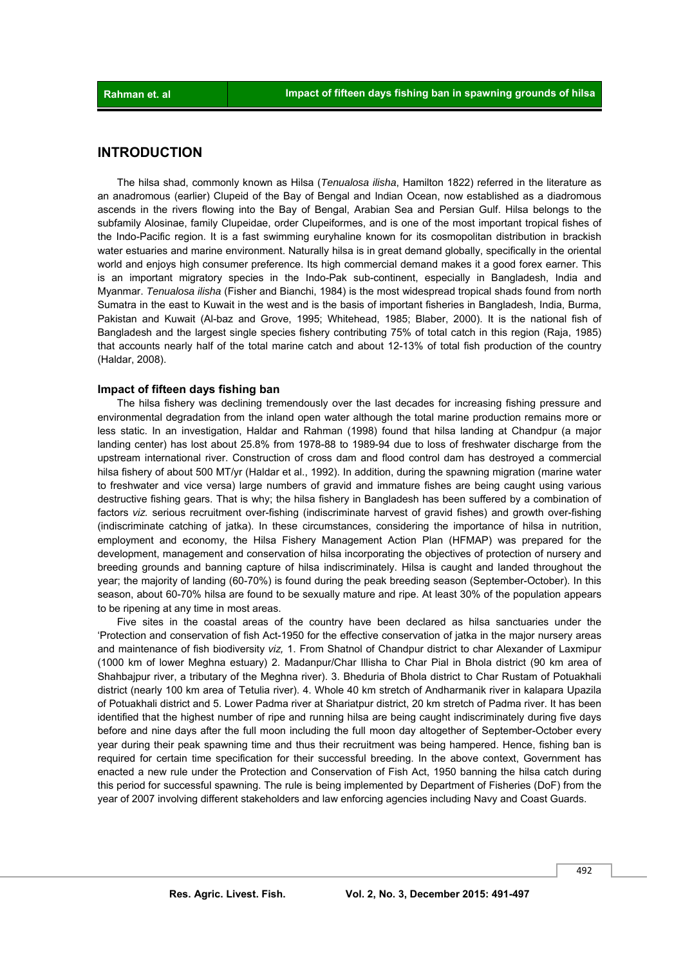#### **INTRODUCTION**

 The hilsa shad, commonly known as Hilsa (*Tenualosa ilisha*, Hamilton 1822) referred in the literature as an anadromous (earlier) Clupeid of the Bay of Bengal and Indian Ocean, now established as a diadromous ascends in the rivers flowing into the Bay of Bengal, Arabian Sea and Persian Gulf. Hilsa belongs to the subfamily Alosinae, family Clupeidae, order Clupeiformes, and is one of the most important tropical fishes of the Indo-Pacific region. It is a fast swimming euryhaline known for its cosmopolitan distribution in brackish water estuaries and marine environment. Naturally hilsa is in great demand globally, specifically in the oriental world and enjoys high consumer preference. Its high commercial demand makes it a good forex earner. This is an important migratory species in the Indo-Pak sub-continent, especially in Bangladesh, India and Myanmar. *Tenualosa ilisha* (Fisher and Bianchi, 1984) is the most widespread tropical shads found from north Sumatra in the east to Kuwait in the west and is the basis of important fisheries in Bangladesh, India, Burma, Pakistan and Kuwait (Al-baz and Grove, 1995; Whitehead, 1985; Blaber, 2000). It is the national fish of Bangladesh and the largest single species fishery contributing 75% of total catch in this region (Raja, 1985) that accounts nearly half of the total marine catch and about 12-13% of total fish production of the country (Haldar, 2008).

#### **Impact of fifteen days fishing ban**

 The hilsa fishery was declining tremendously over the last decades for increasing fishing pressure and environmental degradation from the inland open water although the total marine production remains more or less static. In an investigation, Haldar and Rahman (1998) found that hilsa landing at Chandpur (a major landing center) has lost about 25.8% from 1978-88 to 1989-94 due to loss of freshwater discharge from the upstream international river. Construction of cross dam and flood control dam has destroyed a commercial hilsa fishery of about 500 MT/yr (Haldar et al., 1992). In addition, during the spawning migration (marine water to freshwater and vice versa) large numbers of gravid and immature fishes are being caught using various destructive fishing gears. That is why; the hilsa fishery in Bangladesh has been suffered by a combination of factors *viz.* serious recruitment over-fishing (indiscriminate harvest of gravid fishes) and growth over-fishing (indiscriminate catching of jatka). In these circumstances, considering the importance of hilsa in nutrition, employment and economy, the Hilsa Fishery Management Action Plan (HFMAP) was prepared for the development, management and conservation of hilsa incorporating the objectives of protection of nursery and breeding grounds and banning capture of hilsa indiscriminately. Hilsa is caught and landed throughout the year; the majority of landing (60-70%) is found during the peak breeding season (September-October). In this season, about 60-70% hilsa are found to be sexually mature and ripe. At least 30% of the population appears to be ripening at any time in most areas.

 Five sites in the coastal areas of the country have been declared as hilsa sanctuaries under the 'Protection and conservation of fish Act-1950 for the effective conservation of jatka in the major nursery areas and maintenance of fish biodiversity *viz,* 1. From Shatnol of Chandpur district to char Alexander of Laxmipur (1000 km of lower Meghna estuary) 2. Madanpur/Char Illisha to Char Pial in Bhola district (90 km area of Shahbajpur river, a tributary of the Meghna river). 3. Bheduria of Bhola district to Char Rustam of Potuakhali district (nearly 100 km area of Tetulia river). 4. Whole 40 km stretch of Andharmanik river in kalapara Upazila of Potuakhali district and 5. Lower Padma river at Shariatpur district, 20 km stretch of Padma river. It has been identified that the highest number of ripe and running hilsa are being caught indiscriminately during five days before and nine days after the full moon including the full moon day altogether of September-October every year during their peak spawning time and thus their recruitment was being hampered. Hence, fishing ban is required for certain time specification for their successful breeding. In the above context, Government has enacted a new rule under the Protection and Conservation of Fish Act, 1950 banning the hilsa catch during this period for successful spawning. The rule is being implemented by Department of Fisheries (DoF) from the year of 2007 involving different stakeholders and law enforcing agencies including Navy and Coast Guards.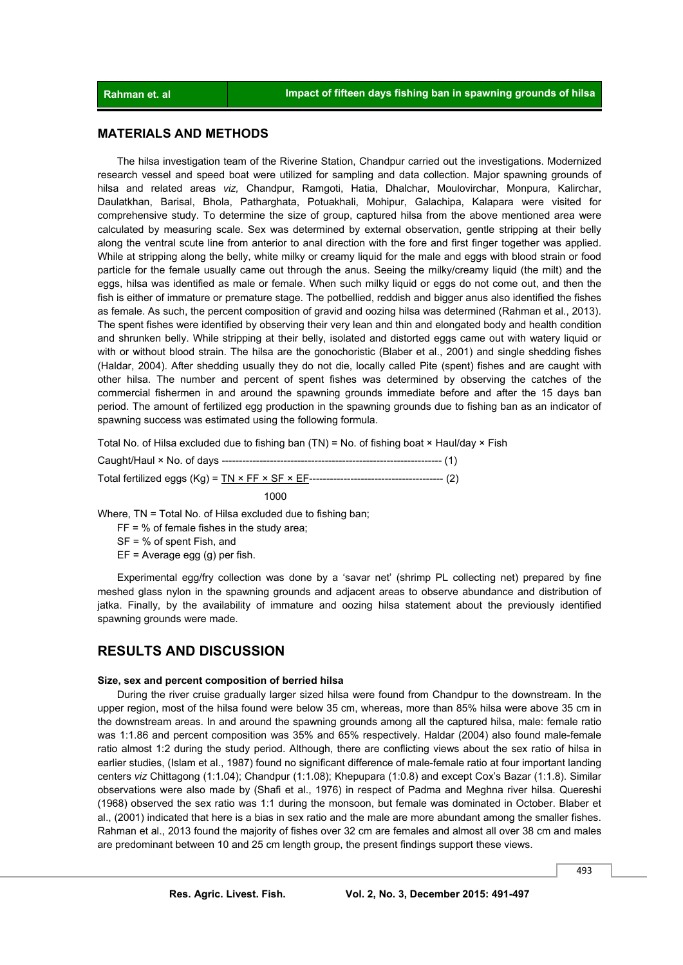#### **MATERIALS AND METHODS**

 The hilsa investigation team of the Riverine Station, Chandpur carried out the investigations. Modernized research vessel and speed boat were utilized for sampling and data collection. Major spawning grounds of hilsa and related areas *viz,* Chandpur, Ramgoti, Hatia, Dhalchar, Moulovirchar, Monpura, Kalirchar, Daulatkhan, Barisal, Bhola, Patharghata, Potuakhali, Mohipur, Galachipa, Kalapara were visited for comprehensive study. To determine the size of group, captured hilsa from the above mentioned area were calculated by measuring scale. Sex was determined by external observation, gentle stripping at their belly along the ventral scute line from anterior to anal direction with the fore and first finger together was applied. While at stripping along the belly, white milky or creamy liquid for the male and eggs with blood strain or food particle for the female usually came out through the anus. Seeing the milky/creamy liquid (the milt) and the eggs, hilsa was identified as male or female. When such milky liquid or eggs do not come out, and then the fish is either of immature or premature stage. The potbellied, reddish and bigger anus also identified the fishes as female. As such, the percent composition of gravid and oozing hilsa was determined (Rahman et al., 2013). The spent fishes were identified by observing their very lean and thin and elongated body and health condition and shrunken belly. While stripping at their belly, isolated and distorted eggs came out with watery liquid or with or without blood strain. The hilsa are the gonochoristic (Blaber et al., 2001) and single shedding fishes (Haldar, 2004). After shedding usually they do not die, locally called Pite (spent) fishes and are caught with other hilsa. The number and percent of spent fishes was determined by observing the catches of the commercial fishermen in and around the spawning grounds immediate before and after the 15 days ban period. The amount of fertilized egg production in the spawning grounds due to fishing ban as an indicator of spawning success was estimated using the following formula.

Total No. of Hilsa excluded due to fishing ban  $(TN)$  = No. of fishing boat  $\times$  Haul/day  $\times$  Fish

Caught/Haul × No. of days ---------------------------------------------------------------- (1) Total fertilized eggs (Kg) = TN × FF × SF × EF--------------------------------------- (2)

1000

Where, TN = Total No. of Hilsa excluded due to fishing ban;

 $FF = % of female fishes in the study area:$ 

SF = % of spent Fish, and

EF = Average egg (g) per fish.

 Experimental egg/fry collection was done by a 'savar net' (shrimp PL collecting net) prepared by fine meshed glass nylon in the spawning grounds and adjacent areas to observe abundance and distribution of jatka. Finally, by the availability of immature and oozing hilsa statement about the previously identified spawning grounds were made.

#### **RESULTS AND DISCUSSION**

#### **Size, sex and percent composition of berried hilsa**

 During the river cruise gradually larger sized hilsa were found from Chandpur to the downstream. In the upper region, most of the hilsa found were below 35 cm, whereas, more than 85% hilsa were above 35 cm in the downstream areas. In and around the spawning grounds among all the captured hilsa, male: female ratio was 1:1.86 and percent composition was 35% and 65% respectively. Haldar (2004) also found male-female ratio almost 1:2 during the study period. Although, there are conflicting views about the sex ratio of hilsa in earlier studies, (Islam et al., 1987) found no significant difference of male-female ratio at four important landing centers *viz* Chittagong (1:1.04); Chandpur (1:1.08); Khepupara (1:0.8) and except Cox's Bazar (1:1.8). Similar observations were also made by (Shafi et al., 1976) in respect of Padma and Meghna river hilsa. Quereshi (1968) observed the sex ratio was 1:1 during the monsoon, but female was dominated in October. Blaber et al., (2001) indicated that here is a bias in sex ratio and the male are more abundant among the smaller fishes. Rahman et al., 2013 found the majority of fishes over 32 cm are females and almost all over 38 cm and males are predominant between 10 and 25 cm length group, the present findings support these views.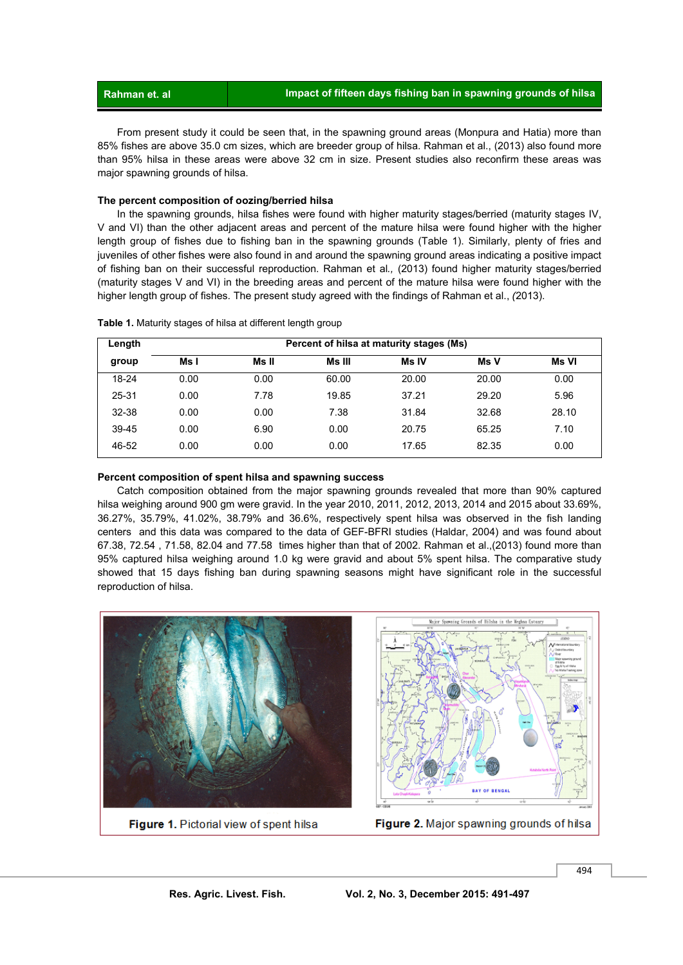From present study it could be seen that, in the spawning ground areas (Monpura and Hatia) more than 85% fishes are above 35.0 cm sizes, which are breeder group of hilsa. Rahman et al., (2013) also found more than 95% hilsa in these areas were above 32 cm in size. Present studies also reconfirm these areas was major spawning grounds of hilsa.

#### **The percent composition of oozing/berried hilsa**

 In the spawning grounds, hilsa fishes were found with higher maturity stages/berried (maturity stages IV, V and VI) than the other adjacent areas and percent of the mature hilsa were found higher with the higher length group of fishes due to fishing ban in the spawning grounds (Table 1). Similarly, plenty of fries and juveniles of other fishes were also found in and around the spawning ground areas indicating a positive impact of fishing ban on their successful reproduction. Rahman et al*.,* (2013) found higher maturity stages/berried (maturity stages V and VI) in the breeding areas and percent of the mature hilsa were found higher with the higher length group of fishes. The present study agreed with the findings of Rahman et al., *(*2013).

| Length    | Percent of hilsa at maturity stages (Ms) |       |        |              |       |       |
|-----------|------------------------------------------|-------|--------|--------------|-------|-------|
| group     | Ms I                                     | Ms II | Ms III | <b>Ms IV</b> | Ms V  | Ms VI |
| $18 - 24$ | 0.00                                     | 0.00  | 60.00  | 20.00        | 20.00 | 0.00  |
| 25-31     | 0.00                                     | 7.78  | 19.85  | 37.21        | 29.20 | 5.96  |
| 32-38     | 0.00                                     | 0.00  | 7.38   | 31.84        | 32.68 | 28.10 |
| 39-45     | 0.00                                     | 6.90  | 0.00   | 20.75        | 65.25 | 7.10  |
| 46-52     | 0.00                                     | 0.00  | 0.00   | 17.65        | 82.35 | 0.00  |

**Table 1.** Maturity stages of hilsa at different length group

#### **Percent composition of spent hilsa and spawning success**

 Catch composition obtained from the major spawning grounds revealed that more than 90% captured hilsa weighing around 900 gm were gravid. In the year 2010, 2011, 2012, 2013, 2014 and 2015 about 33.69%, 36.27%, 35.79%, 41.02%, 38.79% and 36.6%, respectively spent hilsa was observed in the fish landing centers and this data was compared to the data of GEF-BFRI studies (Haldar, 2004) and was found about 67.38, 72.54 , 71.58, 82.04 and 77.58 times higher than that of 2002. Rahman et al.,(2013) found more than 95% captured hilsa weighing around 1.0 kg were gravid and about 5% spent hilsa. The comparative study showed that 15 days fishing ban during spawning seasons might have significant role in the successful reproduction of hilsa.



Figure 1. Pictorial view of spent hilsa



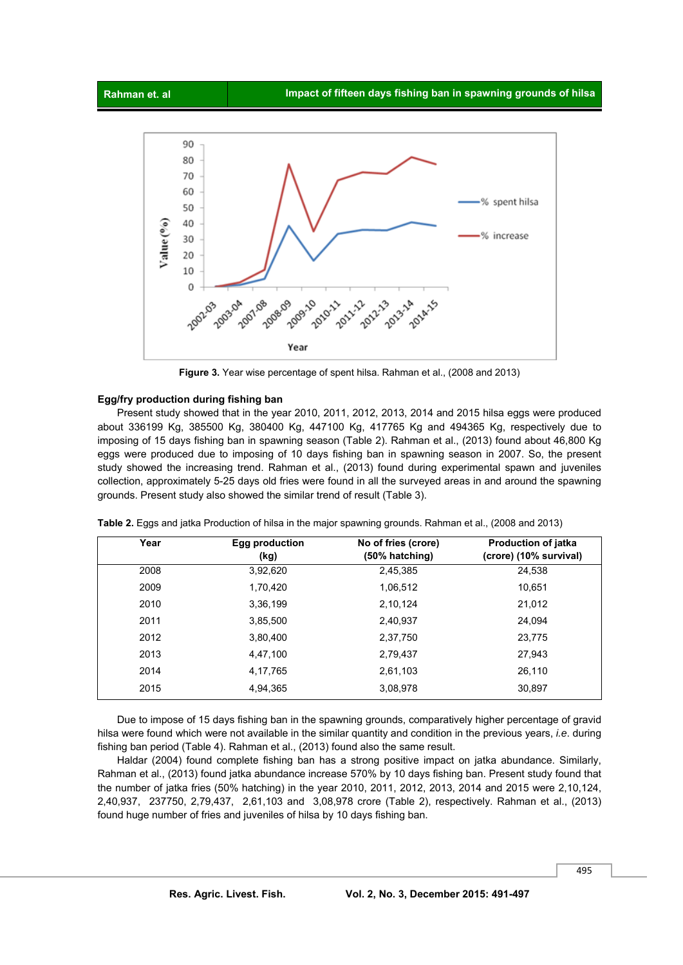

**Figure 3.** Year wise percentage of spent hilsa. Rahman et al., (2008 and 2013)

#### **Egg/fry production during fishing ban**

 Present study showed that in the year 2010, 2011, 2012, 2013, 2014 and 2015 hilsa eggs were produced about 336199 Kg, 385500 Kg, 380400 Kg, 447100 Kg, 417765 Kg and 494365 Kg, respectively due to imposing of 15 days fishing ban in spawning season (Table 2). Rahman et al., (2013) found about 46,800 Kg eggs were produced due to imposing of 10 days fishing ban in spawning season in 2007. So, the present study showed the increasing trend. Rahman et al., (2013) found during experimental spawn and juveniles collection, approximately 5-25 days old fries were found in all the surveyed areas in and around the spawning grounds. Present study also showed the similar trend of result (Table 3).

| Year | Egg production<br>(kg) | No of fries (crore)<br>(50% hatching) | <b>Production of jatka</b><br>(crore) (10% survival) |
|------|------------------------|---------------------------------------|------------------------------------------------------|
| 2008 | 3,92,620               | 2,45,385                              | 24,538                                               |
| 2009 | 1,70,420               | 1,06,512                              | 10,651                                               |
| 2010 | 3,36,199               | 2,10,124                              | 21,012                                               |
| 2011 | 3,85,500               | 2,40,937                              | 24,094                                               |
| 2012 | 3,80,400               | 2,37,750                              | 23,775                                               |
| 2013 | 4,47,100               | 2,79,437                              | 27,943                                               |
| 2014 | 4,17,765               | 2,61,103                              | 26,110                                               |
| 2015 | 4,94,365               | 3,08,978                              | 30,897                                               |

**Table 2.** Eggs and jatka Production of hilsa in the major spawning grounds. Rahman et al., (2008 and 2013)

 Due to impose of 15 days fishing ban in the spawning grounds, comparatively higher percentage of gravid hilsa were found which were not available in the similar quantity and condition in the previous years, *i.e*. during fishing ban period (Table 4). Rahman et al., (2013) found also the same result.

 Haldar (2004) found complete fishing ban has a strong positive impact on jatka abundance. Similarly, Rahman et al., (2013) found jatka abundance increase 570% by 10 days fishing ban. Present study found that the number of jatka fries (50% hatching) in the year 2010, 2011, 2012, 2013, 2014 and 2015 were 2,10,124, 2,40,937, 237750, 2,79,437, 2,61,103 and 3,08,978 crore (Table 2), respectively. Rahman et al., (2013) found huge number of fries and juveniles of hilsa by 10 days fishing ban.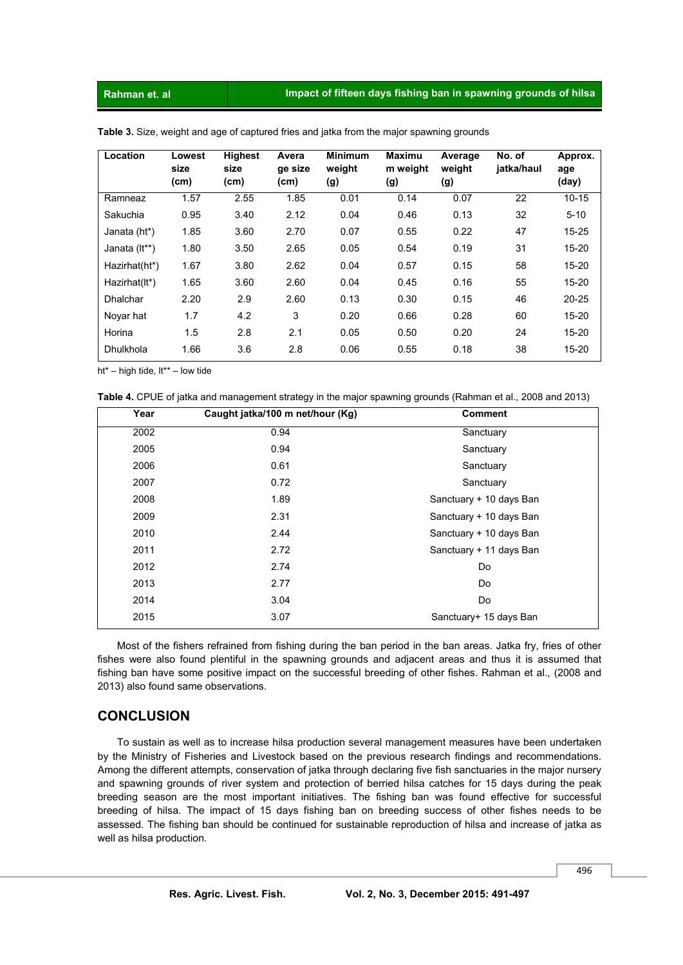| Location      | Lowest<br>size | <b>Highest</b><br>size | Avera<br>ge size | <b>Minimum</b><br>weight | <b>Maximu</b><br>m weight | Average<br>weight | No. of<br>jatka/haul | Approx.<br>age |
|---------------|----------------|------------------------|------------------|--------------------------|---------------------------|-------------------|----------------------|----------------|
|               | (cm)           | (cm)                   | (cm)             | (g)                      | (g)                       | (g)               |                      | (day)          |
| Ramneaz       | 1.57           | 2.55                   | 1.85             | 0.01                     | 0.14                      | 0.07              | 22                   | $10 - 15$      |
| Sakuchia      | 0.95           | 3.40                   | 2.12             | 0.04                     | 0.46                      | 0.13              | 32                   | $5 - 10$       |
| Janata (ht*)  | 1.85           | 3.60                   | 2.70             | 0.07                     | 0.55                      | 0.22              | 47                   | $15 - 25$      |
| Janata (It**) | 1.80           | 3.50                   | 2.65             | 0.05                     | 0.54                      | 0.19              | 31                   | $15 - 20$      |
| Hazirhat(ht*) | 1.67           | 3.80                   | 2.62             | 0.04                     | 0.57                      | 0.15              | 58                   | $15 - 20$      |
| Hazirhat(It*) | 1.65           | 3.60                   | 2.60             | 0.04                     | 0.45                      | 0.16              | 55                   | $15 - 20$      |
| Dhalchar      | 2.20           | 2.9                    | 2.60             | 0.13                     | 0.30                      | 0.15              | 46                   | $20 - 25$      |
| Novar hat     | 1.7            | 4.2                    | 3                | 0.20                     | 0.66                      | 0.28              | 60                   | $15 - 20$      |
| Horina        | 1.5            | 2.8                    | 2.1              | 0.05                     | 0.50                      | 0.20              | 24                   | $15 - 20$      |
| Dhulkhola     | 1.66           | 3.6                    | 2.8              | 0.06                     | 0.55                      | 0.18              | 38                   | $15 - 20$      |

**Table 3.** Size, weight and age of captured fries and jatka from the major spawning grounds

ht\* – high tide, lt\*\* – low tide

**Table 4.** CPUE of jatka and management strategy in the major spawning grounds (Rahman et al., 2008 and 2013)

| Year | Caught jatka/100 m net/hour (Kg) | <b>Comment</b>          |  |
|------|----------------------------------|-------------------------|--|
| 2002 | 0.94                             | Sanctuary               |  |
| 2005 | 0.94                             | Sanctuary               |  |
| 2006 | 0.61                             | Sanctuary               |  |
| 2007 | 0.72                             | Sanctuary               |  |
| 2008 | 1.89                             | Sanctuary + 10 days Ban |  |
| 2009 | 2.31                             | Sanctuary + 10 days Ban |  |
| 2010 | 2.44                             | Sanctuary + 10 days Ban |  |
| 2011 | 2.72                             | Sanctuary + 11 days Ban |  |
| 2012 | 2.74                             | Do                      |  |
| 2013 | 2.77                             | Do                      |  |
| 2014 | 3.04                             | Do                      |  |
| 2015 | 3.07                             | Sanctuary+ 15 days Ban  |  |
|      |                                  |                         |  |

 Most of the fishers refrained from fishing during the ban period in the ban areas. Jatka fry, fries of other fishes were also found plentiful in the spawning grounds and adjacent areas and thus it is assumed that fishing ban have some positive impact on the successful breeding of other fishes. Rahman et al., (2008 and 2013) also found same observations.

### **CONCLUSION**

 To sustain as well as to increase hilsa production several management measures have been undertaken by the Ministry of Fisheries and Livestock based on the previous research findings and recommendations. Among the different attempts, conservation of jatka through declaring five fish sanctuaries in the major nursery and spawning grounds of river system and protection of berried hilsa catches for 15 days during the peak breeding season are the most important initiatives. The fishing ban was found effective for successful breeding of hilsa. The impact of 15 days fishing ban on breeding success of other fishes needs to be assessed. The fishing ban should be continued for sustainable reproduction of hilsa and increase of jatka as well as hilsa production.